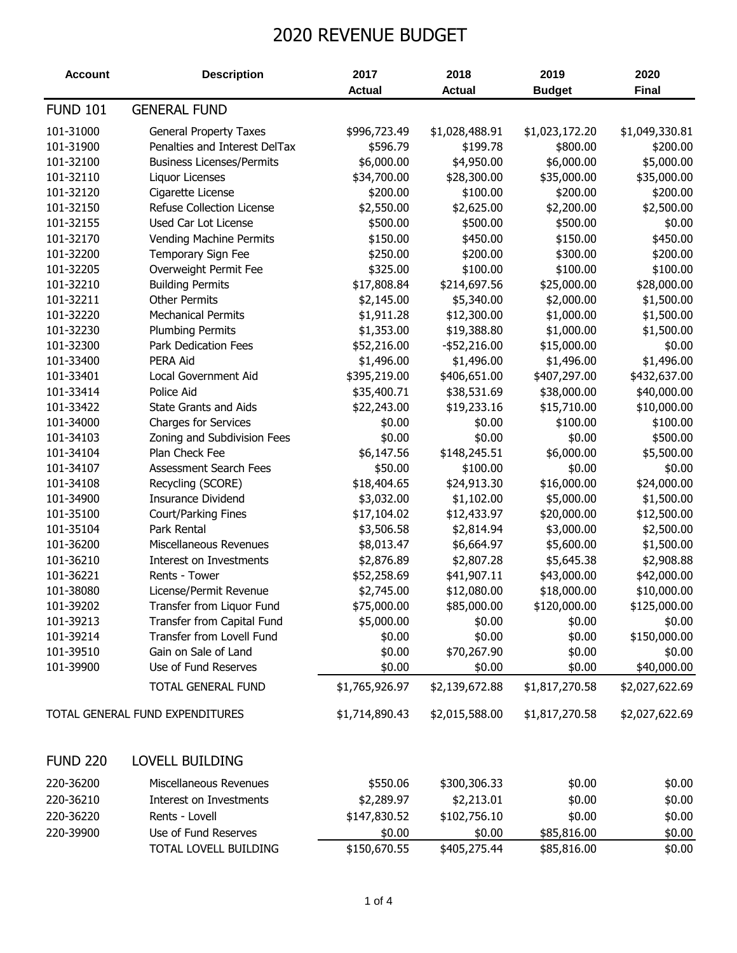## 2020 REVENUE BUDGET

| <b>Actual</b><br><b>Actual</b><br><b>Budget</b><br><b>FUND 101</b><br><b>GENERAL FUND</b><br>101-31000<br>\$996,723.49<br>\$1,028,488.91<br><b>General Property Taxes</b><br>\$1,023,172.20<br>101-31900<br>Penalties and Interest DelTax<br>\$596.79<br>\$199.78<br>\$800.00 | <b>Final</b><br>\$1,049,330.81<br>\$200.00<br>\$5,000.00<br>\$35,000.00 |
|-------------------------------------------------------------------------------------------------------------------------------------------------------------------------------------------------------------------------------------------------------------------------------|-------------------------------------------------------------------------|
|                                                                                                                                                                                                                                                                               |                                                                         |
|                                                                                                                                                                                                                                                                               |                                                                         |
|                                                                                                                                                                                                                                                                               |                                                                         |
|                                                                                                                                                                                                                                                                               |                                                                         |
| \$6,000.00<br>\$6,000.00<br>101-32100<br>\$4,950.00<br><b>Business Licenses/Permits</b>                                                                                                                                                                                       |                                                                         |
| 101-32110<br>\$34,700.00<br>\$35,000.00<br>\$28,300.00<br>Liquor Licenses                                                                                                                                                                                                     |                                                                         |
| 101-32120<br>\$200.00<br>\$100.00<br>\$200.00<br>Cigarette License                                                                                                                                                                                                            | \$200.00                                                                |
| \$2,550.00<br>\$2,625.00<br>\$2,200.00<br>101-32150<br>Refuse Collection License                                                                                                                                                                                              | \$2,500.00                                                              |
| 101-32155<br>Used Car Lot License<br>\$500.00<br>\$500.00<br>\$500.00                                                                                                                                                                                                         | \$0.00                                                                  |
| \$150.00<br>101-32170<br>Vending Machine Permits<br>\$150.00<br>\$450.00                                                                                                                                                                                                      | \$450.00                                                                |
| 101-32200<br>\$250.00<br>\$200.00<br>\$300.00<br>Temporary Sign Fee                                                                                                                                                                                                           | \$200.00                                                                |
| 101-32205<br>Overweight Permit Fee<br>\$325.00<br>\$100.00<br>\$100.00                                                                                                                                                                                                        | \$100.00                                                                |
| \$214,697.56<br>101-32210<br><b>Building Permits</b><br>\$17,808.84<br>\$25,000.00                                                                                                                                                                                            | \$28,000.00                                                             |
| 101-32211<br>\$5,340.00<br><b>Other Permits</b><br>\$2,145.00<br>\$2,000.00                                                                                                                                                                                                   | \$1,500.00                                                              |
| 101-32220<br>\$1,911.28<br>\$12,300.00<br>\$1,000.00<br><b>Mechanical Permits</b>                                                                                                                                                                                             | \$1,500.00                                                              |
| 101-32230<br>\$1,353.00<br>\$19,388.80<br>\$1,000.00<br><b>Plumbing Permits</b>                                                                                                                                                                                               | \$1,500.00                                                              |
| 101-32300<br>Park Dedication Fees<br>\$52,216.00<br>$-$ \$52,216.00<br>\$15,000.00                                                                                                                                                                                            | \$0.00                                                                  |
| 101-33400<br>\$1,496.00<br>\$1,496.00<br>PERA Aid<br>\$1,496.00                                                                                                                                                                                                               | \$1,496.00                                                              |
| \$395,219.00<br>101-33401<br>Local Government Aid<br>\$406,651.00<br>\$407,297.00                                                                                                                                                                                             | \$432,637.00                                                            |
| 101-33414<br>Police Aid<br>\$35,400.71<br>\$38,531.69<br>\$38,000.00                                                                                                                                                                                                          | \$40,000.00                                                             |
| 101-33422<br><b>State Grants and Aids</b><br>\$22,243.00<br>\$19,233.16<br>\$15,710.00                                                                                                                                                                                        | \$10,000.00                                                             |
| 101-34000<br><b>Charges for Services</b><br>\$0.00<br>\$0.00<br>\$100.00                                                                                                                                                                                                      | \$100.00                                                                |
| \$0.00<br>\$0.00<br>\$0.00<br>101-34103<br>Zoning and Subdivision Fees                                                                                                                                                                                                        | \$500.00                                                                |
| \$6,000.00<br>\$6,147.56<br>\$148,245.51<br>101-34104<br>Plan Check Fee                                                                                                                                                                                                       | \$5,500.00                                                              |
| \$50.00<br>\$100.00<br>101-34107<br>Assessment Search Fees<br>\$0.00                                                                                                                                                                                                          | \$0.00                                                                  |
| \$18,404.65<br>\$24,913.30<br>101-34108<br>Recycling (SCORE)<br>\$16,000.00                                                                                                                                                                                                   | \$24,000.00                                                             |
| 101-34900<br><b>Insurance Dividend</b><br>\$3,032.00<br>\$1,102.00<br>\$5,000.00                                                                                                                                                                                              | \$1,500.00                                                              |
| 101-35100<br>Court/Parking Fines<br>\$17,104.02<br>\$12,433.97<br>\$20,000.00                                                                                                                                                                                                 | \$12,500.00                                                             |
| 101-35104<br>Park Rental<br>\$3,506.58<br>\$2,814.94<br>\$3,000.00                                                                                                                                                                                                            | \$2,500.00                                                              |
| 101-36200<br>\$5,600.00<br>Miscellaneous Revenues<br>\$8,013.47<br>\$6,664.97                                                                                                                                                                                                 | \$1,500.00                                                              |
| 101-36210<br>Interest on Investments<br>\$2,876.89<br>\$2,807.28<br>\$5,645.38                                                                                                                                                                                                | \$2,908.88                                                              |
| 101-36221<br>Rents - Tower<br>\$52,258.69<br>\$41,907.11<br>\$43,000.00                                                                                                                                                                                                       | \$42,000.00                                                             |
| 101-38080<br>License/Permit Revenue<br>\$2,745.00<br>\$12,080.00<br>\$18,000.00                                                                                                                                                                                               | \$10,000.00                                                             |
| \$75,000.00<br>\$85,000.00<br>\$120,000.00<br>101-39202<br>Transfer from Liquor Fund                                                                                                                                                                                          | \$125,000.00                                                            |
| 101-39213<br>Transfer from Capital Fund<br>\$5,000.00<br>\$0.00<br>\$0.00                                                                                                                                                                                                     | \$0.00                                                                  |
| 101-39214<br>Transfer from Lovell Fund<br>\$0.00<br>\$0.00<br>\$0.00                                                                                                                                                                                                          | \$150,000.00                                                            |
| Gain on Sale of Land<br>\$0.00<br>101-39510<br>\$70,267.90<br>\$0.00                                                                                                                                                                                                          | \$0.00                                                                  |
| Use of Fund Reserves<br>101-39900<br>\$0.00<br>\$0.00<br>\$0.00                                                                                                                                                                                                               | \$40,000.00                                                             |
| \$1,765,926.97<br>TOTAL GENERAL FUND<br>\$2,139,672.88<br>\$1,817,270.58                                                                                                                                                                                                      | \$2,027,622.69                                                          |
| TOTAL GENERAL FUND EXPENDITURES<br>\$1,714,890.43<br>\$2,015,588.00<br>\$1,817,270.58                                                                                                                                                                                         | \$2,027,622.69                                                          |
| <b>FUND 220</b><br><b>LOVELL BUILDING</b>                                                                                                                                                                                                                                     |                                                                         |
| 220-36200<br>Miscellaneous Revenues<br>\$550.06<br>\$300,306.33<br>\$0.00                                                                                                                                                                                                     | \$0.00                                                                  |
| 220-36210<br>\$2,213.01<br>Interest on Investments<br>\$2,289.97<br>\$0.00                                                                                                                                                                                                    | \$0.00                                                                  |
| 220-36220<br>Rents - Lovell<br>\$147,830.52<br>\$102,756.10<br>\$0.00                                                                                                                                                                                                         | \$0.00                                                                  |
| 220-39900<br>Use of Fund Reserves<br>\$0.00<br>\$85,816.00<br>\$0.00                                                                                                                                                                                                          | \$0.00                                                                  |
| TOTAL LOVELL BUILDING<br>\$150,670.55<br>\$405,275.44<br>\$85,816.00                                                                                                                                                                                                          | \$0.00                                                                  |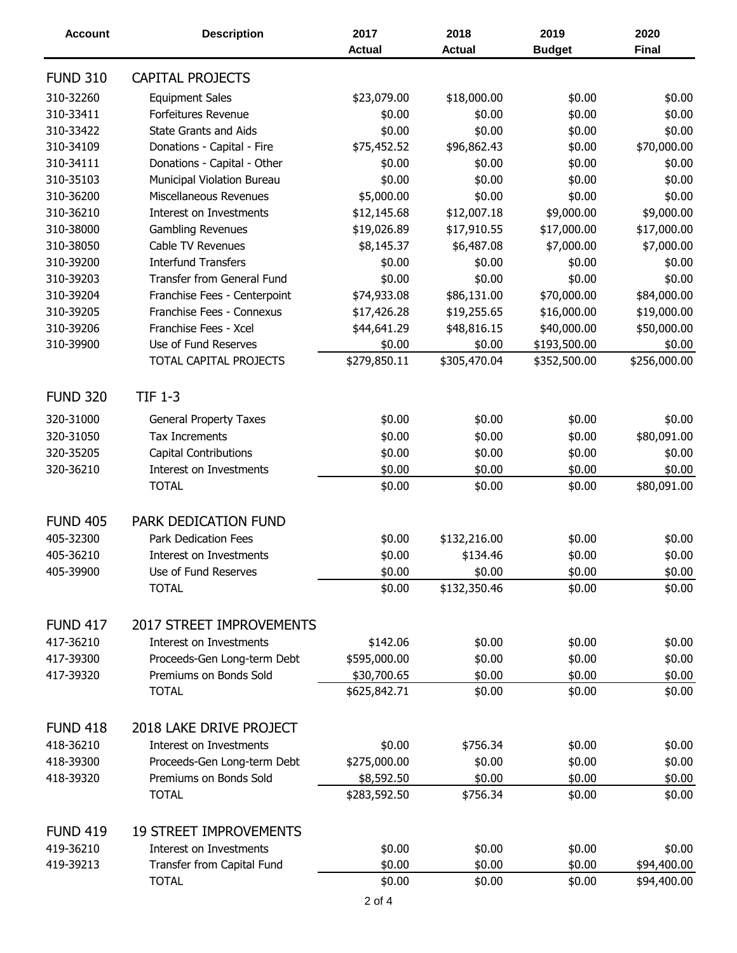| <b>Account</b>  | <b>Description</b>                | 2017          | 2018          | 2019          | 2020         |
|-----------------|-----------------------------------|---------------|---------------|---------------|--------------|
|                 |                                   | <b>Actual</b> | <b>Actual</b> | <b>Budget</b> | <b>Final</b> |
| <b>FUND 310</b> | CAPITAL PROJECTS                  |               |               |               |              |
| 310-32260       | <b>Equipment Sales</b>            | \$23,079.00   | \$18,000.00   | \$0.00        | \$0.00       |
| 310-33411       | Forfeitures Revenue               | \$0.00        | \$0.00        | \$0.00        | \$0.00       |
| 310-33422       | <b>State Grants and Aids</b>      | \$0.00        | \$0.00        | \$0.00        | \$0.00       |
| 310-34109       | Donations - Capital - Fire        | \$75,452.52   | \$96,862.43   | \$0.00        | \$70,000.00  |
| 310-34111       | Donations - Capital - Other       | \$0.00        | \$0.00        | \$0.00        | \$0.00       |
| 310-35103       | Municipal Violation Bureau        | \$0.00        | \$0.00        | \$0.00        | \$0.00       |
| 310-36200       | Miscellaneous Revenues            | \$5,000.00    | \$0.00        | \$0.00        | \$0.00       |
| 310-36210       | <b>Interest on Investments</b>    | \$12,145.68   | \$12,007.18   | \$9,000.00    | \$9,000.00   |
| 310-38000       | Gambling Revenues                 | \$19,026.89   | \$17,910.55   | \$17,000.00   | \$17,000.00  |
| 310-38050       | Cable TV Revenues                 | \$8,145.37    | \$6,487.08    | \$7,000.00    | \$7,000.00   |
| 310-39200       | <b>Interfund Transfers</b>        | \$0.00        | \$0.00        | \$0.00        | \$0.00       |
| 310-39203       | <b>Transfer from General Fund</b> | \$0.00        | \$0.00        | \$0.00        | \$0.00       |
| 310-39204       | Franchise Fees - Centerpoint      | \$74,933.08   | \$86,131.00   | \$70,000.00   | \$84,000.00  |
| 310-39205       | Franchise Fees - Connexus         | \$17,426.28   | \$19,255.65   | \$16,000.00   | \$19,000.00  |
| 310-39206       | Franchise Fees - Xcel             | \$44,641.29   | \$48,816.15   | \$40,000.00   | \$50,000.00  |
| 310-39900       | Use of Fund Reserves              | \$0.00        | \$0.00        | \$193,500.00  | \$0.00       |
|                 | TOTAL CAPITAL PROJECTS            | \$279,850.11  | \$305,470.04  | \$352,500.00  | \$256,000.00 |
| <b>FUND 320</b> | <b>TIF 1-3</b>                    |               |               |               |              |
|                 |                                   |               |               |               |              |
| 320-31000       | <b>General Property Taxes</b>     | \$0.00        | \$0.00        | \$0.00        | \$0.00       |
| 320-31050       | <b>Tax Increments</b>             | \$0.00        | \$0.00        | \$0.00        | \$80,091.00  |
| 320-35205       | Capital Contributions             | \$0.00        | \$0.00        | \$0.00        | \$0.00       |
| 320-36210       | Interest on Investments           | \$0.00        | \$0.00        | \$0.00        | \$0.00       |
|                 | <b>TOTAL</b>                      | \$0.00        | \$0.00        | \$0.00        | \$80,091.00  |
| <b>FUND 405</b> | PARK DEDICATION FUND              |               |               |               |              |
| 405-32300       | <b>Park Dedication Fees</b>       | \$0.00        | \$132,216.00  | \$0.00        | \$0.00       |
| 405-36210       | Interest on Investments           | \$0.00        | \$134.46      | \$0.00        | \$0.00       |
| 405-39900       | Use of Fund Reserves              | \$0.00        | \$0.00        | \$0.00        | \$0.00       |
|                 | <b>TOTAL</b>                      | \$0.00        | \$132,350.46  | \$0.00        | \$0.00       |
| <b>FUND 417</b> | <b>2017 STREET IMPROVEMENTS</b>   |               |               |               |              |
| 417-36210       | Interest on Investments           | \$142.06      | \$0.00        | \$0.00        | \$0.00       |
| 417-39300       | Proceeds-Gen Long-term Debt       | \$595,000.00  | \$0.00        | \$0.00        | \$0.00       |
| 417-39320       | Premiums on Bonds Sold            | \$30,700.65   | \$0.00        | \$0.00        | \$0.00       |
|                 | <b>TOTAL</b>                      | \$625,842.71  | \$0.00        | \$0.00        | \$0.00       |
| <b>FUND 418</b> | 2018 LAKE DRIVE PROJECT           |               |               |               |              |
| 418-36210       | Interest on Investments           | \$0.00        | \$756.34      | \$0.00        | \$0.00       |
| 418-39300       | Proceeds-Gen Long-term Debt       | \$275,000.00  | \$0.00        | \$0.00        | \$0.00       |
| 418-39320       | Premiums on Bonds Sold            | \$8,592.50    | \$0.00        | \$0.00        | \$0.00       |
|                 | <b>TOTAL</b>                      | \$283,592.50  | \$756.34      | \$0.00        | \$0.00       |
| <b>FUND 419</b> | <b>19 STREET IMPROVEMENTS</b>     |               |               |               |              |
| 419-36210       | Interest on Investments           | \$0.00        | \$0.00        | \$0.00        | \$0.00       |
| 419-39213       | Transfer from Capital Fund        | \$0.00        | \$0.00        | \$0.00        | \$94,400.00  |
|                 | <b>TOTAL</b>                      | \$0.00        | \$0.00        | \$0.00        | \$94,400.00  |
|                 |                                   |               |               |               |              |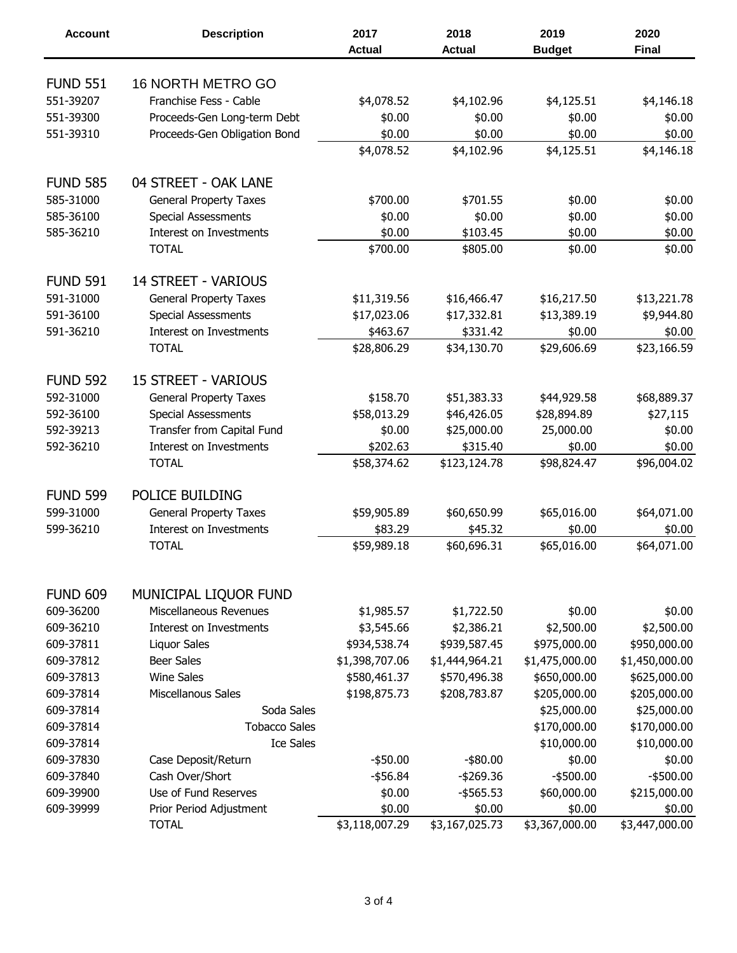| <b>Account</b>  | <b>Description</b>             | 2017           | 2018           | 2019           | 2020           |
|-----------------|--------------------------------|----------------|----------------|----------------|----------------|
|                 |                                | <b>Actual</b>  | <b>Actual</b>  | <b>Budget</b>  | <b>Final</b>   |
|                 |                                |                |                |                |                |
| <b>FUND 551</b> | <b>16 NORTH METRO GO</b>       |                |                |                |                |
| 551-39207       | Franchise Fess - Cable         | \$4,078.52     | \$4,102.96     | \$4,125.51     | \$4,146.18     |
| 551-39300       | Proceeds-Gen Long-term Debt    | \$0.00         | \$0.00         | \$0.00         | \$0.00         |
| 551-39310       | Proceeds-Gen Obligation Bond   | \$0.00         | \$0.00         | \$0.00         | \$0.00         |
|                 |                                | \$4,078.52     | \$4,102.96     | \$4,125.51     | \$4,146.18     |
| <b>FUND 585</b> | 04 STREET - OAK LANE           |                |                |                |                |
| 585-31000       | <b>General Property Taxes</b>  | \$700.00       | \$701.55       | \$0.00         | \$0.00         |
| 585-36100       | <b>Special Assessments</b>     | \$0.00         | \$0.00         | \$0.00         | \$0.00         |
| 585-36210       | <b>Interest on Investments</b> | \$0.00         | \$103.45       | \$0.00         | \$0.00         |
|                 | <b>TOTAL</b>                   | \$700.00       | \$805.00       | \$0.00         | \$0.00         |
| <b>FUND 591</b> | <b>14 STREET - VARIOUS</b>     |                |                |                |                |
| 591-31000       | <b>General Property Taxes</b>  | \$11,319.56    | \$16,466.47    | \$16,217.50    | \$13,221.78    |
| 591-36100       | <b>Special Assessments</b>     | \$17,023.06    | \$17,332.81    | \$13,389.19    | \$9,944.80     |
| 591-36210       | Interest on Investments        | \$463.67       | \$331.42       | \$0.00         | \$0.00         |
|                 |                                | \$28,806.29    |                | \$29,606.69    |                |
|                 | <b>TOTAL</b>                   |                | \$34,130.70    |                | \$23,166.59    |
| <b>FUND 592</b> | <b>15 STREET - VARIOUS</b>     |                |                |                |                |
| 592-31000       | <b>General Property Taxes</b>  | \$158.70       | \$51,383.33    | \$44,929.58    | \$68,889.37    |
| 592-36100       | <b>Special Assessments</b>     | \$58,013.29    | \$46,426.05    | \$28,894.89    | \$27,115       |
| 592-39213       | Transfer from Capital Fund     | \$0.00         | \$25,000.00    | 25,000.00      | \$0.00         |
| 592-36210       | Interest on Investments        | \$202.63       | \$315.40       | \$0.00         | \$0.00         |
|                 | <b>TOTAL</b>                   | \$58,374.62    | \$123,124.78   | \$98,824.47    | \$96,004.02    |
|                 |                                |                |                |                |                |
| <b>FUND 599</b> | POLICE BUILDING                |                |                |                |                |
| 599-31000       | <b>General Property Taxes</b>  | \$59,905.89    | \$60,650.99    | \$65,016.00    | \$64,071.00    |
| 599-36210       | Interest on Investments        | \$83.29        | \$45.32        | \$0.00         | \$0.00         |
|                 | <b>TOTAL</b>                   | \$59,989.18    | \$60,696.31    | \$65,016.00    | \$64,071.00    |
|                 |                                |                |                |                |                |
| <b>FUND 609</b> | MUNICIPAL LIQUOR FUND          |                |                |                |                |
| 609-36200       | Miscellaneous Revenues         | \$1,985.57     | \$1,722.50     | \$0.00         | \$0.00         |
| 609-36210       | Interest on Investments        | \$3,545.66     | \$2,386.21     | \$2,500.00     | \$2,500.00     |
| 609-37811       | Liquor Sales                   | \$934,538.74   | \$939,587.45   | \$975,000.00   | \$950,000.00   |
| 609-37812       | <b>Beer Sales</b>              | \$1,398,707.06 | \$1,444,964.21 | \$1,475,000.00 | \$1,450,000.00 |
| 609-37813       | <b>Wine Sales</b>              | \$580,461.37   | \$570,496.38   | \$650,000.00   | \$625,000.00   |
| 609-37814       | Miscellanous Sales             | \$198,875.73   | \$208,783.87   | \$205,000.00   | \$205,000.00   |
| 609-37814       | Soda Sales                     |                |                | \$25,000.00    | \$25,000.00    |
| 609-37814       | <b>Tobacco Sales</b>           |                |                | \$170,000.00   | \$170,000.00   |
| 609-37814       | <b>Ice Sales</b>               |                |                | \$10,000.00    | \$10,000.00    |
| 609-37830       | Case Deposit/Return            | $-$ \$50.00    | $-$ \$80.00    | \$0.00         | \$0.00         |
| 609-37840       | Cash Over/Short                | $-$ \$56.84    | $-$269.36$     | $-$ \$500.00   | $-$ \$500.00   |
| 609-39900       | Use of Fund Reserves           | \$0.00         | $-$ \$565.53   | \$60,000.00    | \$215,000.00   |
| 609-39999       | Prior Period Adjustment        | \$0.00         | \$0.00         | \$0.00         | \$0.00         |
|                 | <b>TOTAL</b>                   | \$3,118,007.29 | \$3,167,025.73 | \$3,367,000.00 | \$3,447,000.00 |